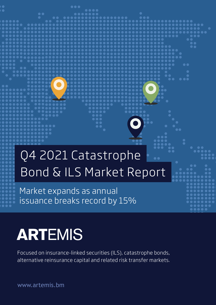## Bond & ILS Market Report Q4 2021 Catastrophe

Market expands as annual issuance breaks record by 15%

## **ARTEMIS**

Focused on insurance-linked securities (ILS), catastrophe bonds, alternative reinsurance capital and related risk transfer markets.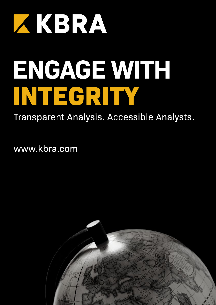

# ENGAGE WITH INTEGRITY

Transparent Analysis. Accessible Analysts.

www.kbra.com

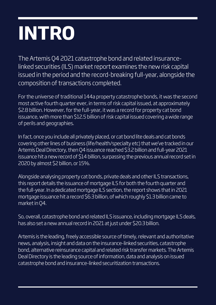## **INTRO**

The Artemis Q4 2021 catastrophe bond and related insurancelinked securities (ILS) market report examines the new risk capital issued in the period and the record-breaking full-year, alongside the composition of transactions completed.

For the universe of traditional 144a property catastrophe bonds, it was the second most active fourth quarter ever, in terms of risk capital issued, at approximately \$2.8 billion. However, for the full-year, it was a record for property cat bond issuance, with more than \$12.5 billion of risk capital issued covering a wide range of perils and geographies.

In fact, once you include all privately placed, or cat bond lite deals and cat bonds covering other lines of business (life/health/specialty etc) that we've tracked in our Artemis Deal Directory, then Q4 issuance reached \$3.2 billion and full-year 2021 issuance hit a new record of \$14 billion, surpassing the previous annual record set in 2020 by almost \$2 billion, or 15%.

Alongside analysing property cat bonds, private deals and other ILS transactions, this report details the issuance of mortgage ILS for both the fourth quarter and the full-year. In a dedicated mortgage ILS section, the report shows that in 2021 mortgage issuance hit a record \$6.3 billion, of which roughly \$1.3 billion came to market in Q4.

So, overall, catastrophe bond and related ILS issuance, including mortgage ILS deals, has also set a new annual record in 2021 at just under \$20.3 billion.

Artemis is the leading, freely accessible source of timely, relevant and authoritative news, analysis, insight and data on the insurance-linked securities, catastrophe bond, alternative reinsurance capital and related risk transfer markets. The Artemis Deal Directory is the leading source of information, data and analysis on issued catastrophe bond and insurance-linked securitization transactions.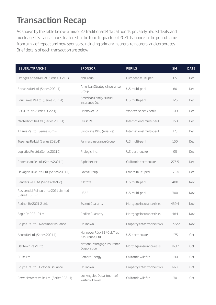### Transaction Recap

As shown by the table below, a mix of 27 traditional 144a cat bonds, privately placed deals, and mortgage ILS transactions featured in the fourth-quarter of 2021. Issuance in the period came from a mix of repeat and new sponsors, including primary insurers, reinsurers, and corporates. Brief details of each transaction are below:

| <b>ISSUER/TRANCHE</b>                                   | <b>SPONSOR</b>                                 | <b>PERILS</b>              | \$М    | <b>DATE</b> |
|---------------------------------------------------------|------------------------------------------------|----------------------------|--------|-------------|
| Orange Capital Re DAC (Series 2021-1)                   | NN Group                                       | European multi-peril       | 85     | Dec         |
| Bonanza Re Ltd. (Series 2021-1)                         | American Strategic Insurance<br>Group          | U.S. multi-peril           | 80     | Dec         |
| Four Lakes Re Ltd. (Series 2021-1)                      | American Family Mutual<br>Insurance Co.        | U.S. multi-peril           | 125    | Dec         |
| 3264 Re Ltd. (Series 2022-1)                            | Hannover Re                                    | Worldwide peak perils      | 100    | Dec         |
| Matterhorn Re Ltd. (Series 2021-1)                      | Swiss Re                                       | International multi-peril  | 150    | Dec         |
| Titania Re Ltd. (Series 2021-2)                         | Syndicate 1910 (Ariel Re)                      | International multi-peril  | 175    | Dec         |
| Topanga Re Ltd. (Series 2021-1)                         | Farmers Insurance Group                        | U.S. multi-peril           | 160    | Dec         |
| Logistics Re Ltd. (Series 2021-1)                       | Prologis, Inc.                                 | U.S. earthquake            | 95     | Dec         |
| Phoenician Re Ltd. (Series 2021-1)                      | Alphabet Inc.                                  | California earthquake      | 275.5  | Dec         |
| Hexagon III Re Pte. Ltd. (Series 2021-1)                | Covéa Group                                    | France multi-peril         | 173.4  | Dec         |
| Sanders Re II Ltd. (Series 2021-2)                      | Allstate                                       | U.S. multi-peril           | 400    | Nov         |
| Residential Reinsurance 2021 Limited<br>(Series 2021-2) | <b>USAA</b>                                    | U.S. multi-peril           | 300    | Nov         |
| Radnor Re 2021-2 Ltd.                                   | Essent Guaranty                                | Mortgage insurance risks   | 439.4  | Nov         |
| Eagle Re 2021-2 Ltd.                                    | Radian Guaranty                                | Mortgage insurance risks   | 484    | Nov         |
| Eclipse Re Ltd. - November issuance                     | Unknown                                        | Property catastrophe risks | 277.22 | Nov         |
| Acorn Re Ltd. (Series 2021-1)                           | Hannover Rück SE / Oak Tree<br>Assurance, Ltd. | U.S. earthquake            | 475    | Oct         |
| Oaktown Re VII Ltd.                                     | National Mortgage Insurance<br>Corporation     | Mortgage insurance risks   | 363.7  | Oct         |
| SD Re Ltd.                                              | Sempra Energy                                  | California wildfire        | 180    | Oct         |
| Eclipse Re Ltd. - October issuance                      | Unknown                                        | Property catastrophe risks | 66.7   | Oct         |
| Power Protective Re Ltd. (Series 2021-1)                | Los Angeles Department of<br>Water & Power     | California wildfire        | 30     | Oct         |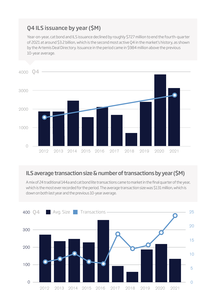#### Q4 ILS issuance by year (\$M)

Year-on-year, cat bond and ILS issuance declined by roughly \$727 million to end the fourth-quarter of 2021 at around \$3.2 billion, which is the second most active Q4 in the market's history, as shown by the Artemis Deal Directory. Issuance in the period came in \$984 million above the previous 10-year average.



#### ILS average transaction size & number of transactions by year (\$M)

A mix of 24 traditional 144a and cat bond lite transactions came to market in the final quarter of the year, which is the most ever recorded for the period. The average transaction size was \$131 million, which is down on both last year and the previous 10-year average.

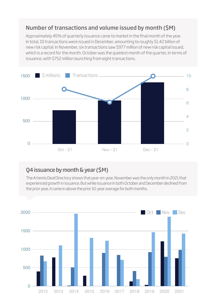#### Number of transactions and volume issued by month (\$M)

Approximately 45% of quarterly issuance came to market in the final month of the year. In total, 10 transactions were issued in December, amounting to roughly \$1.42 billion of new risk capital. In November, six transactions saw \$977 million of new risk capital issued, which is a record for the month. October was the quietest month of the quarter, in terms of issuance, with \$752 million launching from eight transactions.



#### Q4 issuance by month & year (\$M)

The Artemis Deal Directory shows that year-on-year, November was the only month in 2021 that experienced growth in issuance. But while issuance in both October and December declined from the prior year, it came in above the prior 10-year average for both months.

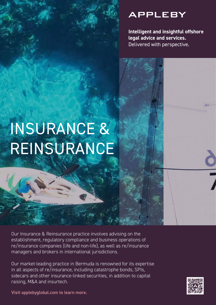### **APPLEBY**

**Intelligent and insightful offshore legal advice and services.** Delivered with perspective.

## INSURANCE & REINSURANCE

Our Insurance & Reinsurance practice involves advising on the establishment, regulatory compliance and business operations of re/insurance companies (life and non-life), as well as re/insurance managers and brokers in international jurisdictions.

Our market-leading practice in Bermuda is renowned for its expertise in all aspects of re/insurance, including catastrophe bonds, SPIs, sidecars and other insurance-linked securities, in addition to capital raising, M&A and insurtech.



**Visit applebyglobal.com to learn more.**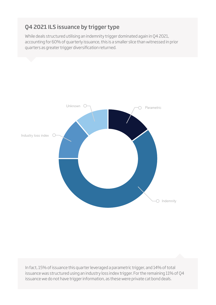#### Q4 2021 ILS issuance by trigger type

While deals structured utilising an indemnity trigger dominated again in Q4 2021, accounting for 60% of quarterly issuance, this is a smaller slice than witnessed in prior quarters as greater trigger diversification returned.



In fact, 15% of issuance this quarter leveraged a parametric trigger, and 14% of total issuance was structured using an industry loss index trigger. For the remaining 11% of Q4 issuance we do not have trigger information, as these were private cat bond deals.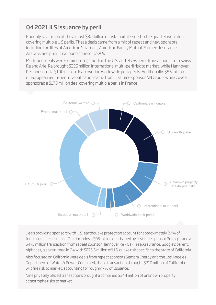#### Q4 2021 ILS issuance by peril

Roughly \$1.1 billion of the almost \$3.2 billion of risk capital issued in the quarter were deals covering multiple U.S perils. These deals came from a mix of repeat and new sponsors, including the likes of American Strategic, American Family Mutual, Farmers Insurance, Allstate, and prolific cat bond sponsor USAA.

Multi-peril deals were common in Q4 both in the U.S. and elsewhere. Transactions from Swiss Re and Ariel Re brought \$325 million international multi-peril risk to market, while Hannover Re sponsored a \$100 million deal covering worldwide peak perils. Additionally, \$85 million of European multi-peril diversification came from first time sponsor NN Group, while Covéa sponsored a \$173 million deal covering multiple perils in France.



Deals providing sponsors with U.S. earthquake protection account for approximately 27% of fourth-quarter issuance. This includes a \$95 million deal issued by first time sponsor Prologis, and a \$475 million transaction from repeat sponsor Hannover Re / Oak Tree Assurance. Google's parent, Alphabet, also returned in Q4 with \$275.5 million of U.S. quake risk specific to the state of California.

Also focused on California were deals from repeat sponsors Sempra Energy and the Los Angeles Department of Water & Power. Combined, these transactions brought \$210 million of California wildfire risk to market, accounting for roughly 7% of issuance.

Nine privately placed transactions brought a combined \$344 million of unknown property catastrophe risks to market.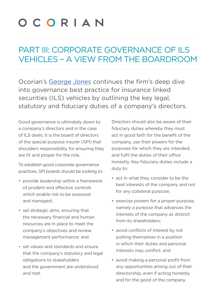## OCORIAN

### PART III: CORPORATE GOVERNANCE OF ILS VEHICLES – A VIEW FROM THE BOARDROOM

Ocorian's George Jones continues the firm's deep dive into governance best practice for insurance linked securities (ILS) vehicles by outlining the key legal, statutory and fiduciary duties of a company's directors.

Good governance is ultimately down to a company's directors and in the case of ILS deals, it is the board of directors of the special purpose insurer (SPI) that shoulders responsibility for ensuring they are fit and proper for the role.

To establish good corporate governance practices, SPI boards should be looking to:

- provide leadership within a framework of prudent and effective controls which enable risk to be assessed and managed;
- set strategic aims, ensuring that the necessary financial and human resources are in place to meet the company's objectives and review management performance; and
- set values and standards and ensure that the company's statutory and legal obligations to stakeholders and the government are understood and met.

Directors should also be aware of their fiduciary duties whereby they must act in good faith for the benefit of the company, use their powers for the purposes for which they are intended, and fulfil the duties of their office honestly. Key fiduciary duties include a duty to:

- act in what they consider to be the best interests of the company and not for any collateral purpose;
- exercise powers for a proper purpose, namely a purpose that advances the interests of the company as distinct from its shareholders;
- avoid conflicts of interest by not putting themselves in a position in which their duties and personal interests may conflict; and
- avoid making a personal profit from any opportunities arising out of their directorship, even if acting honestly and for the good of the company.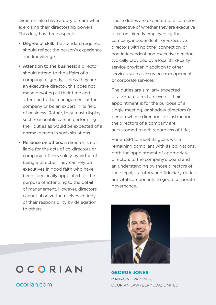Directors also have a duty of care when exercising their directorship powers. This duty has three aspects:

- Degree of skill: the standard required should reflect the person's experience and knowledge.
- Attention to the business: a director should attend to the affairs of a company diligently. Unless they are an executive director, this does not mean devoting all their time and attention to the management of the company or be an expert in its field of business. Rather, they must display such reasonable care in performing their duties as would be expected of a normal person in such situations.
- Reliance on others: a director is not liable for the acts of co-directors or company officers solely by virtue of being a director. They can rely on executives in good faith who have been specifically appointed for the purpose of attending to the detail of management. However, directors cannot absolve themselves entirely of their responsibility by delegation to others.

These duties are expected of all directors, irrespective of whether they are executive directors directly employed by the company, independent non-executive directors with no other connection, or non-independent non-executive directors typically provided by a local third-party service provider in addition to other services such as insurance management or corporate services.

The duties are similarly expected of alternate directors even if their appointment is for the purpose of a single meeting, or shadow directors (a person whose directions or instructions the directors of a company are accustomed to act, regardless of title).

For an SPI to meet its goals while remaining compliant with its obligations, both the appointment of appropriate directors to the company's board and an understanding by those directors of their legal, statutory and fiduciary duties are vital components to good corporate governance.



**GEORGE JONES** MANAGING PARTNER OCORIAN LAW (BERMUDA) LIMITED

### OCORIAN

ocorian.com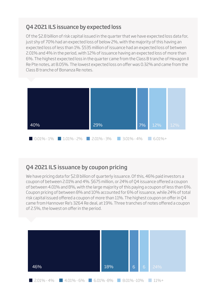#### Q4 2021 ILS issuance by expected loss

Of the \$2.8 billion of risk capital issued in the quarter that we have expected loss data for, just shy of 70% had an expected loss of below 2%, with the majority of this having an expected loss of less than 1%. \$535 million of issuance had an expected loss of between 2.01% and 4% in the period, with 12% of issuance having an expected loss of more than 6%. The highest expected loss in the quarter came from the Class B tranche of Hexagon II Re Pte notes, at 8.05%. The lowest expected loss on offer was 0.32% and came from the Class B tranche of Bonanza Re notes.



#### Q4 2021 ILS issuance by coupon pricing

We have pricing data for \$2.8 billion of quarterly issuance. Of this, 46% paid investors a coupon of between 2.01% and 4%. \$675 million, or 24% of Q4 issuance offered a coupon of between 4.01% and 8%, with the large majority of this paying a coupon of less than 6%. Coupon pricing of between 8% and 10% accounted for 6% of issuance, while 24% of total risk capital issued offered a coupon of more than 11%. The highest coupon on offer in Q4 came from Hannover Re's 3264 Re deal, at 19%. Three tranches of notes offered a coupon of 2.5%, the lowest on offer in the period.

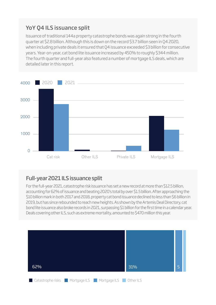#### YoY Q4 ILS issuance split

Issuance of traditional 144a property catastrophe bonds was again strong in the fourth quarter at \$2.8 billion. Although this is down on the record \$3.7 billion seen in Q4 2020, when including private deals it ensured that Q4 issuance exceeded \$3 billion for consecutive years. Year-on-year, cat bond lite issuance increased by 450% to roughly \$344 million. The fourth quarter and full-year also featured a number of mortgage ILS deals, which are detailed later in this report.



#### Full-year 2021 ILS issuance split

For the full-year 2021, catastrophe risk issuance has set a new record at more than \$12.5 billion, accounting for 62% of issuance and beating 2020's total by over \$1.5 billion. After approaching the \$10 billion mark in both 2017 and 2018, property cat bond issuance declined to less than \$6 billion in 2019, but has since rebounded to reach new heights. As shown by the Artemis Deal Directory, cat bond lite issuance also broke records in 2021, surpassing \$1 billion for the first time in a calendar year. Deals covering other ILS, such as extreme mortality, amounted to \$470 million this year.

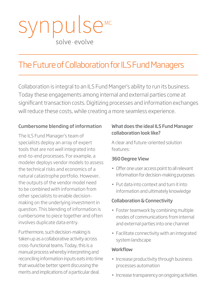## npulse solve · evolve

### The Future of Collaboration for ILS Fund Managers

Collaboration is integral to an ILS Fund Manger's ability to run its business. Today these engagements among internal and external parties come at significant transaction costs. Digitizing processes and information exchanges will reduce these costs, while creating a more seamless experience.

#### Cumbersome blending of information

The ILS Fund Manager's team of specialists deploy an array of expert tools that are not well integrated into end-to-end processes. For example, a modeler deploys vendor models to assess the technical risks and economics of a natural catastrophe portfolio. However, the outputs of the vendor model need to be combined with information from other specialists to enable decisionmaking on the underlying investment in question. This blending of information is cumbersome to piece together and often involves duplicate data entry.

Furthermore, such decision-making is taken up as a collaborative activity across cross-functional teams. Today, this is a manual process whereby interpreting and reconciling information inputs eats into time that would be better spent discussing the merits and implications of a particular deal.

#### What does the ideal ILS Fund Manager collaboration look like?

A clear and future-oriented solution features:

#### 360 Degree View

- Offer one user access point to all relevant information for decision-making purposes
- Put data into context and turn it into information and ultimately knowledge

#### Collaboration & Connectivity

- Foster teamwork by combining multiple modes of communications from internal and external parties into one channel
- Facilitate connectivity with an integrated system landscape

#### **Workflow**

- Increase productivity through business processes automation
- Increase transparency on ongoing activities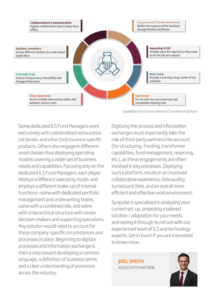

Capabilities for a future-oriented ILS workbench platform

Some dedicated ILS Fund Managers work exclusively with collateralized reinsurance, cat bonds, and other (re)insurance specific products. Others also engage in different asset classes thus deploying operating models covering a wider set of business needs and capabilities. Focusing only on the dedicated ILS Fund Managers, each player deploys a different operating model, and employs a different make-up of internal functions—some with dedicated portfolio management and underwriting teams, some with a combined role, and some with a hierarchical structure with senior decision-makers and supporting operations. Any solution would need to account for these company-specific circumstances and processes in place. Beginning to digitize processes and information exchange is then a step toward developing a common language, a definition of business terms, and a clear understanding of processes across the industry.

Digitizing the process and information exchanges must importantly take the role of third-party partners into account (for structuring, fronting, transformer capabilities, fund management, reserving, etc.), as these engagements are often involved in key processes. Deploying such a platform, results in an improved collaborative experience, data quality, turnaround time, and an overall more efficient and effective work environment.

Synpulse is specialized in analyzing your current set-up, proposing a tailored solution / adaptation for your needs, and seeing it through to roll out with our experienced team of ILS and technology experts. Get in touch if you are interested to know more.

JOEL SMITH [ASSOCIATE PARTNER](http://www.synpulse.ch/en/about-us/persons/joel-smith)

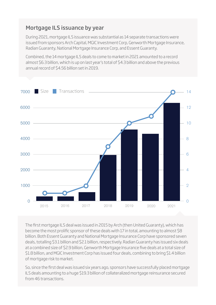#### Mortgage ILS issuance by year

During 2021, mortgage ILS issuance was substantial as 14 separate transactions were issued from sponsors Arch Capital, MGIC Investment Corp, Genworth Mortgage Insurance, Radian Guaranty, National Mortgage Insurance Corp, and Essent Guaranty.

Combined, the 14 mortgage ILS deals to come to market in 2021 amounted to a record almost \$6.3 billion, which is up on last year's total of \$4.3 billion and above the previous annual record of \$4.56 billion set in 2019.



The first mortgage ILS deal was issued in 2015 by Arch (then United Guaranty), which has become the most prolific sponsor of these deals with 17 in total, amounting to almost \$8 billion. Both Essent Guaranty and National Mortgage Insurance Corp have sponsored seven deals, totalling \$3.1 billion and \$2.1 billion, respectively. Radian Guaranty has issued six deals at a combined size of \$2.9 billion, Genworth Mortgage Insurance five deals at a total size of \$1.8 billion, and MGIC Investment Corp has issued four deals, combining to bring \$1.4 billion of mortgage risk to market.

So, since the first deal was issued six years ago, sponsors have successfully placed mortgage ILS deals amounting to a huge \$19.3 billion of collateralized mortgage reinsurance secured from 46 transactions.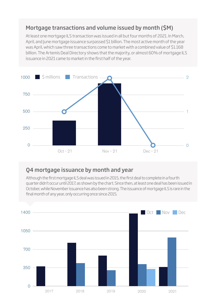#### Mortgage transactions and volume issued by month (\$M)

At least one mortgage ILS transaction was issued in all but four months of 2021. In March, April, and June mortgage issuance surpassed \$1 billion. The most active month of the year was April, which saw three transactions come to market with a combined value of \$1.168 billion. The Artemis Deal Directory shows that the majority, or almost 60% of mortgage ILS issuance in 2021 came to market in the first half of the year.



#### Q4 mortgage issuance by month and year

Although the first mortgage ILS deal was issued in 2015, the first deal to complete in a fourth quarter didn't occur until 2017, as shown by the chart. Since then, at least one deal has been issued in October, while November issuance has also been strong. The issuance of mortgage ILS is rare in the final month of any year, only occurring once since 2015.

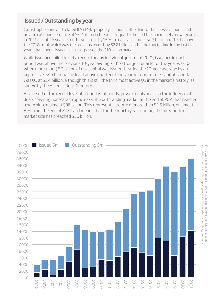#### Issued / Outstanding by year

Catastrophe bond and related ILS (144a property cat bond, other line-of-business cat bond, and private cat bond) issuance of \$3.2 billion in the fourth-quarter helped the market set a new record in 2021, as total issuance for the year rose by 15% to reach an impressive \$14 billion. This is above the 2018 total, which was the previous record, by \$2.2 billion, and is the fourth time in the last five years that annual issuance has surpassed the \$10 billion mark.

While issuance failed to set a record for any individual quarter of 2021, issuance in each period was above the previous 10-year average. The strongest quarter of the year was Q2 when more than \$6.3 billion of risk capital was issued, beating the 10-year average by an impressive \$2.6 billion. The least active quarter of the year, in terms of risk capital issued, was Q3 at \$1.4 billion, although this is still the third most active Q3 in the market's history, as shown by the Artemis Deal Directory.

As a result of the record level of property cat bonds, private deals and also the influence of deals covering non-catastrophe risks, the outstanding market at the end of 2021 has reached a new high of almost \$36 billion. This represents growth of more than \$2.5 billion, or almost 8%, from the end of 2020 and means that for the fourth year running, the outstanding market size has breached \$30 billion.

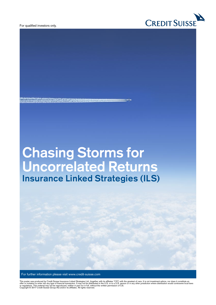For qualified investors only.



## **Chasing Storms for Uncorrelated Returns Insurance Linked Strategies (ILS)**

**COMPANY CARD CONTROL** 

For further information please visit www.credit-suisse.com

This poster was produced by Credit Suisse Insurance Linked Strategies Ltd. (together with its affiliates "CS") with the greatest of care. It is not investment advice, nor does it constitute an<br>or fequiations. This material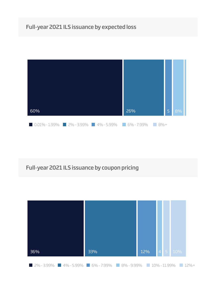#### Full-year 2021 ILS issuance by expected loss



#### Full-year 2021 ILS issuance by coupon pricing

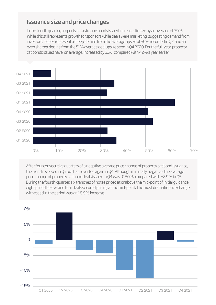#### Issuance size and price changes

In the fourth quarter, property catastrophe bonds issued increased in size by an average of 7.9%. While this still represents growth for sponsors while deals were marketing, suggesting demand from investors, it does represent a steep decline from the average upsize of 36% recorded in Q3, and an even sharper decline from the 51% average deal upsize seen in Q4 2020. For the full-year, property cat bonds issued have, on average, increased by 31%, compared with 42% a year earlier.



After four consecutive quarters of a negative average price change of property cat bond issuance, the trend reversed in Q3 but has reverted again in Q4. Although minimally negative, the average price change of property cat bond deals issued in Q4 was -0.30%, compared with +2.9% in Q3. During the fourth-quarter, six tranches of notes priced at or above the mid-point of initial guidance, eight priced below, and four deals secured pricing at the mid-point. The most dramatic price change witnessed in the period was an 18.9% increase.

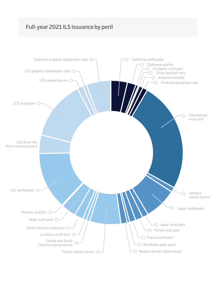#### Full-year 2021 ILS issuance by peril

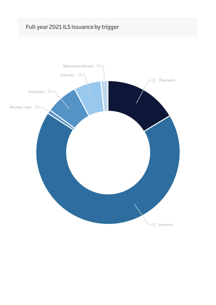#### Full-year 2021 ILS issuance by trigger

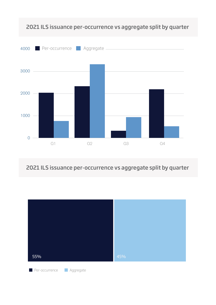

#### 2021 ILS issuance per-occurrence vs aggregate split by quarter

2021 ILS issuance per-occurrence vs aggregate split by quarter

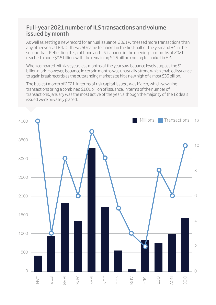#### Full-year 2021 number of ILS transactions and volume issued by month

As well as setting a new record for annual issuance, 2021 witnessed more transactions than any other year, at 84. Of these, 50 came to market in the first-half of the year and 34 in the second-half. Reflecting this, cat bond and ILS issuance in the opening six months of 2021 reached a huge \$9.5 billion, with the remaining \$4.5 billion coming to market in H2.

When compared with last year, less months of the year saw issuance levels surpass the \$1 billion mark. However, issuance in certain months was unusually strong which enabled issuance to again break records as the outstanding market size hit a new high of almost \$36 billion.

The busiest month of 2021, in terms of risk capital issued, was March, which saw nine transactions bring a combined \$1.81 billion of issuance. In terms of the number of transactions, January was the most active of the year, although the majority of the 12 deals issued were privately placed.

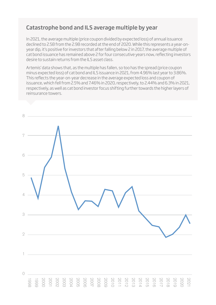#### Catastrophe bond and ILS average multiple by year

In 2021, the average multiple (price coupon divided by expected loss) of annual issuance declined to 2.58 from the 2.98 recorded at the end of 2020. While this represents a year-onyear dip, it's positive for investors that after falling below 2 in 2017, the average multiple of cat bond issuance has remained above 2 for four consecutive years now, reflecting investors desire to sustain returns from the ILS asset class.

Artemis' data shows that, as the multiple has fallen, so too has the spread (price coupon minus expected loss) of cat bond and ILS issuance in 2021, from 4.96% last year to 3.86%. This reflects the year-on-year decrease in the average expected loss and coupon of issuance, which fell from 2.5% and 7.46% in 2020, respectively, to 2.44% and 6.3% in 2021, respectively, as well as cat bond investor focus shifting further towards the higher layers of reinsurance towers.